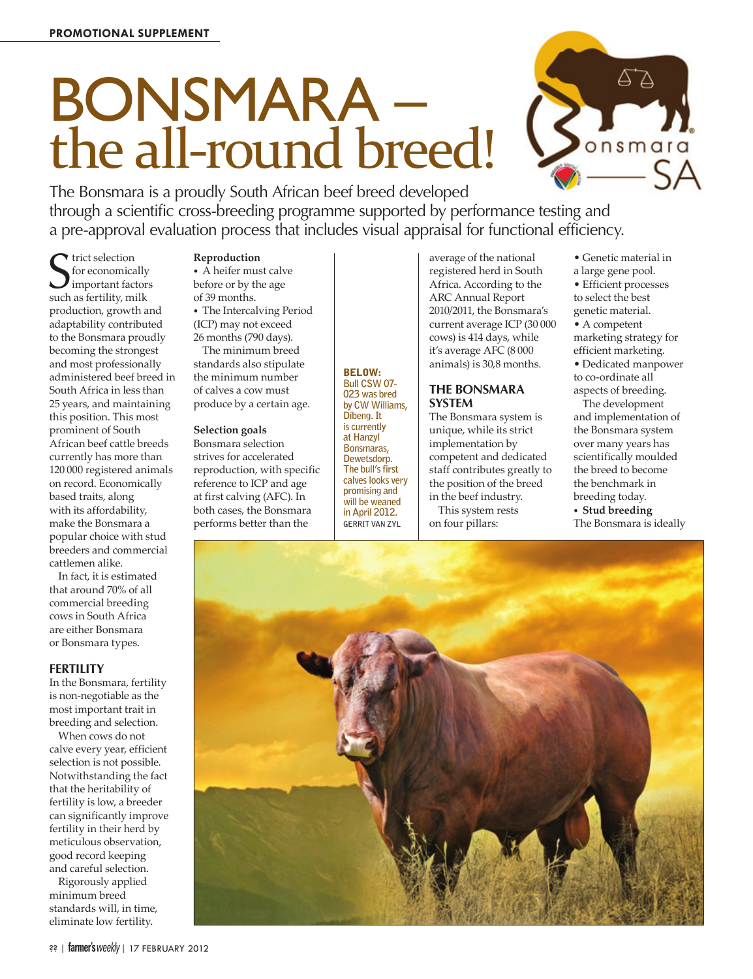# BONSMARA – the all-round breed!



The Bonsmara is a proudly South African beef breed developed through a scientific cross-breeding programme supported by performance testing and a pre-approval evaluation process that includes visual appraisal for functional efficiency.

 $S<sub>1</sub>$  for economically<br>
such as fertility, milk trict selection for economically  $\boldsymbol{J}$  important factors production, growth and adaptability contributed to the Bonsmara proudly becoming the strongest and most professionally administered beef breed in South Africa in less than 25 years, and maintaining this position. This most prominent of South African beef cattle breeds currently has more than 120 000 registered animals on record. Economically based traits, along with its affordability, make the Bonsmara a popular choice with stud breeders and commercial cattlemen alike.

In fact, it is estimated that around 70% of all commercial breeding cows in South Africa are either Bonsmara or Bonsmara types.

#### **FERTILITY**

In the Bonsmara, fertility is non-negotiable as the most important trait in breeding and selection.

When cows do not calve every year, efficient selection is not possible. Notwithstanding the fact that the heritability of fertility is low, a breeder can significantly improve fertility in their herd by meticulous observation, good record keeping and careful selection.

Rigorously applied minimum breed standards will, in time, eliminate low fertility.

### **Reproduction**

*•*  A heifer must calve before or by the age of 39 months. *•*  The Intercalving Period (ICP) may not exceed

26 months (790 days). The minimum breed standards also stipulate

the minimum number of calves a cow must produce by a certain age.

#### **Selection goals**

Bonsmara selection strives for accelerated reproduction, with specific reference to ICP and age at first calving (AFC). In both cases, the Bonsmara performs better than the

BELOW: **Bull CSW 07- 023 was bred by CW Williams, Dibeng. It is currently at Hanzyl Bonsmaras, Dewetsdorp. The bull's first calves looks very promising and will be weaned in April 2012. GERRIT VAN ZYL**

average of the national registered herd in South Africa. According to the ARC Annual Report 2010/2011, the Bonsmara's current average ICP (30 000 cows) is 414 days, while it's average AFC (8 000 animals) is 30,8 months.

#### **THE BONSMARA SYSTEM**

The Bonsmara system is unique, while its strict implementation by competent and dedicated staff contributes greatly to the position of the breed in the beef industry. This system rests

on four pillars:

• Genetic material in

a large gene pool. • Efficient processes to select the best genetic material. • A competent

marketing strategy for efficient marketing.

• Dedicated manpower to co-ordinate all aspects of breeding.

The development and implementation of the Bonsmara system over many years has scientifically moulded the breed to become the benchmark in breeding today. *•*  **Stud breeding** The Bonsmara is ideally